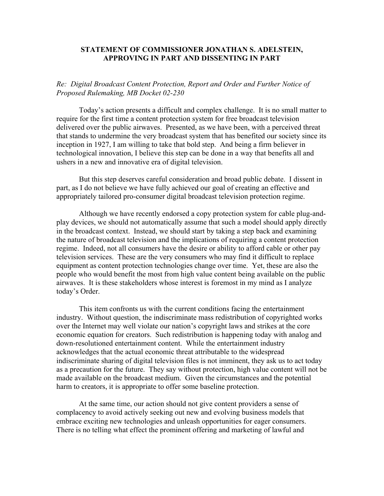## **STATEMENT OF COMMISSIONER JONATHAN S. ADELSTEIN, APPROVING IN PART AND DISSENTING IN PART**

*Re: Digital Broadcast Content Protection, Report and Order and Further Notice of Proposed Rulemaking, MB Docket 02-230* 

Today's action presents a difficult and complex challenge. It is no small matter to require for the first time a content protection system for free broadcast television delivered over the public airwaves. Presented, as we have been, with a perceived threat that stands to undermine the very broadcast system that has benefited our society since its inception in 1927, I am willing to take that bold step. And being a firm believer in technological innovation, I believe this step can be done in a way that benefits all and ushers in a new and innovative era of digital television.

But this step deserves careful consideration and broad public debate. I dissent in part, as I do not believe we have fully achieved our goal of creating an effective and appropriately tailored pro-consumer digital broadcast television protection regime.

 Although we have recently endorsed a copy protection system for cable plug-andplay devices, we should not automatically assume that such a model should apply directly in the broadcast context. Instead, we should start by taking a step back and examining the nature of broadcast television and the implications of requiring a content protection regime. Indeed, not all consumers have the desire or ability to afford cable or other pay television services. These are the very consumers who may find it difficult to replace equipment as content protection technologies change over time. Yet, these are also the people who would benefit the most from high value content being available on the public airwaves. It is these stakeholders whose interest is foremost in my mind as I analyze today's Order.

This item confronts us with the current conditions facing the entertainment industry. Without question, the indiscriminate mass redistribution of copyrighted works over the Internet may well violate our nation's copyright laws and strikes at the core economic equation for creators. Such redistribution is happening today with analog and down-resolutioned entertainment content. While the entertainment industry acknowledges that the actual economic threat attributable to the widespread indiscriminate sharing of digital television files is not imminent, they ask us to act today as a precaution for the future. They say without protection, high value content will not be made available on the broadcast medium. Given the circumstances and the potential harm to creators, it is appropriate to offer some baseline protection.

At the same time, our action should not give content providers a sense of complacency to avoid actively seeking out new and evolving business models that embrace exciting new technologies and unleash opportunities for eager consumers. There is no telling what effect the prominent offering and marketing of lawful and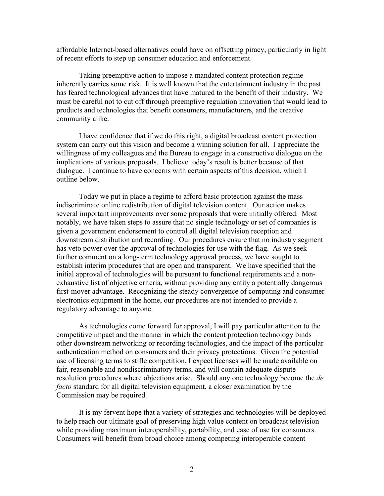affordable Internet-based alternatives could have on offsetting piracy, particularly in light of recent efforts to step up consumer education and enforcement.

 Taking preemptive action to impose a mandated content protection regime inherently carries some risk. It is well known that the entertainment industry in the past has feared technological advances that have matured to the benefit of their industry. We must be careful not to cut off through preemptive regulation innovation that would lead to products and technologies that benefit consumers, manufacturers, and the creative community alike.

 I have confidence that if we do this right, a digital broadcast content protection system can carry out this vision and become a winning solution for all. I appreciate the willingness of my colleagues and the Bureau to engage in a constructive dialogue on the implications of various proposals. I believe today's result is better because of that dialogue. I continue to have concerns with certain aspects of this decision, which I outline below.

Today we put in place a regime to afford basic protection against the mass indiscriminate online redistribution of digital television content. Our action makes several important improvements over some proposals that were initially offered. Most notably, we have taken steps to assure that no single technology or set of companies is given a government endorsement to control all digital television reception and downstream distribution and recording. Our procedures ensure that no industry segment has veto power over the approval of technologies for use with the flag. As we seek further comment on a long-term technology approval process, we have sought to establish interim procedures that are open and transparent. We have specified that the initial approval of technologies will be pursuant to functional requirements and a nonexhaustive list of objective criteria, without providing any entity a potentially dangerous first-mover advantage. Recognizing the steady convergence of computing and consumer electronics equipment in the home, our procedures are not intended to provide a regulatory advantage to anyone.

As technologies come forward for approval, I will pay particular attention to the competitive impact and the manner in which the content protection technology binds other downstream networking or recording technologies, and the impact of the particular authentication method on consumers and their privacy protections. Given the potential use of licensing terms to stifle competition, I expect licenses will be made available on fair, reasonable and nondiscriminatory terms, and will contain adequate dispute resolution procedures where objections arise. Should any one technology become the *de facto* standard for all digital television equipment, a closer examination by the Commission may be required.

It is my fervent hope that a variety of strategies and technologies will be deployed to help reach our ultimate goal of preserving high value content on broadcast television while providing maximum interoperability, portability, and ease of use for consumers. Consumers will benefit from broad choice among competing interoperable content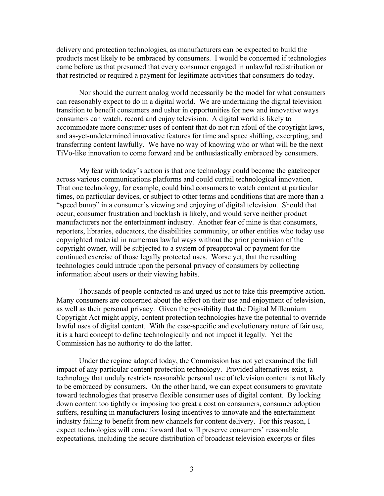delivery and protection technologies, as manufacturers can be expected to build the products most likely to be embraced by consumers. I would be concerned if technologies came before us that presumed that every consumer engaged in unlawful redistribution or that restricted or required a payment for legitimate activities that consumers do today.

Nor should the current analog world necessarily be the model for what consumers can reasonably expect to do in a digital world. We are undertaking the digital television transition to benefit consumers and usher in opportunities for new and innovative ways consumers can watch, record and enjoy television. A digital world is likely to accommodate more consumer uses of content that do not run afoul of the copyright laws, and as-yet-undetermined innovative features for time and space shifting, excerpting, and transferring content lawfully. We have no way of knowing who or what will be the next TiVo-like innovation to come forward and be enthusiastically embraced by consumers.

My fear with today's action is that one technology could become the gatekeeper across various communications platforms and could curtail technological innovation. That one technology, for example, could bind consumers to watch content at particular times, on particular devices, or subject to other terms and conditions that are more than a "speed bump" in a consumer's viewing and enjoying of digital television. Should that occur, consumer frustration and backlash is likely, and would serve neither product manufacturers nor the entertainment industry. Another fear of mine is that consumers, reporters, libraries, educators, the disabilities community, or other entities who today use copyrighted material in numerous lawful ways without the prior permission of the copyright owner, will be subjected to a system of preapproval or payment for the continued exercise of those legally protected uses. Worse yet, that the resulting technologies could intrude upon the personal privacy of consumers by collecting information about users or their viewing habits.

Thousands of people contacted us and urged us not to take this preemptive action. Many consumers are concerned about the effect on their use and enjoyment of television, as well as their personal privacy. Given the possibility that the Digital Millennium Copyright Act might apply, content protection technologies have the potential to override lawful uses of digital content. With the case-specific and evolutionary nature of fair use, it is a hard concept to define technologically and not impact it legally. Yet the Commission has no authority to do the latter.

Under the regime adopted today, the Commission has not yet examined the full impact of any particular content protection technology. Provided alternatives exist, a technology that unduly restricts reasonable personal use of television content is not likely to be embraced by consumers. On the other hand, we can expect consumers to gravitate toward technologies that preserve flexible consumer uses of digital content. By locking down content too tightly or imposing too great a cost on consumers, consumer adoption suffers, resulting in manufacturers losing incentives to innovate and the entertainment industry failing to benefit from new channels for content delivery. For this reason, I expect technologies will come forward that will preserve consumers' reasonable expectations, including the secure distribution of broadcast television excerpts or files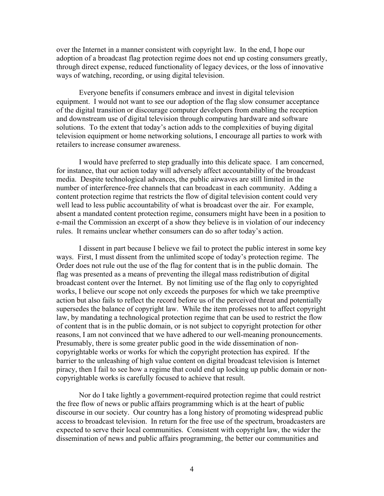over the Internet in a manner consistent with copyright law. In the end, I hope our adoption of a broadcast flag protection regime does not end up costing consumers greatly, through direct expense, reduced functionality of legacy devices, or the loss of innovative ways of watching, recording, or using digital television.

Everyone benefits if consumers embrace and invest in digital television equipment. I would not want to see our adoption of the flag slow consumer acceptance of the digital transition or discourage computer developers from enabling the reception and downstream use of digital television through computing hardware and software solutions. To the extent that today's action adds to the complexities of buying digital television equipment or home networking solutions, I encourage all parties to work with retailers to increase consumer awareness.

 I would have preferred to step gradually into this delicate space. I am concerned, for instance, that our action today will adversely affect accountability of the broadcast media. Despite technological advances, the public airwaves are still limited in the number of interference-free channels that can broadcast in each community. Adding a content protection regime that restricts the flow of digital television content could very well lead to less public accountability of what is broadcast over the air. For example, absent a mandated content protection regime, consumers might have been in a position to e-mail the Commission an excerpt of a show they believe is in violation of our indecency rules. It remains unclear whether consumers can do so after today's action.

 I dissent in part because I believe we fail to protect the public interest in some key ways. First, I must dissent from the unlimited scope of today's protection regime. The Order does not rule out the use of the flag for content that is in the public domain. The flag was presented as a means of preventing the illegal mass redistribution of digital broadcast content over the Internet. By not limiting use of the flag only to copyrighted works, I believe our scope not only exceeds the purposes for which we take preemptive action but also fails to reflect the record before us of the perceived threat and potentially supersedes the balance of copyright law. While the item professes not to affect copyright law, by mandating a technological protection regime that can be used to restrict the flow of content that is in the public domain, or is not subject to copyright protection for other reasons, I am not convinced that we have adhered to our well-meaning pronouncements. Presumably, there is some greater public good in the wide dissemination of noncopyrightable works or works for which the copyright protection has expired. If the barrier to the unleashing of high value content on digital broadcast television is Internet piracy, then I fail to see how a regime that could end up locking up public domain or noncopyrightable works is carefully focused to achieve that result.

Nor do I take lightly a government-required protection regime that could restrict the free flow of news or public affairs programming which is at the heart of public discourse in our society. Our country has a long history of promoting widespread public access to broadcast television. In return for the free use of the spectrum, broadcasters are expected to serve their local communities. Consistent with copyright law, the wider the dissemination of news and public affairs programming, the better our communities and